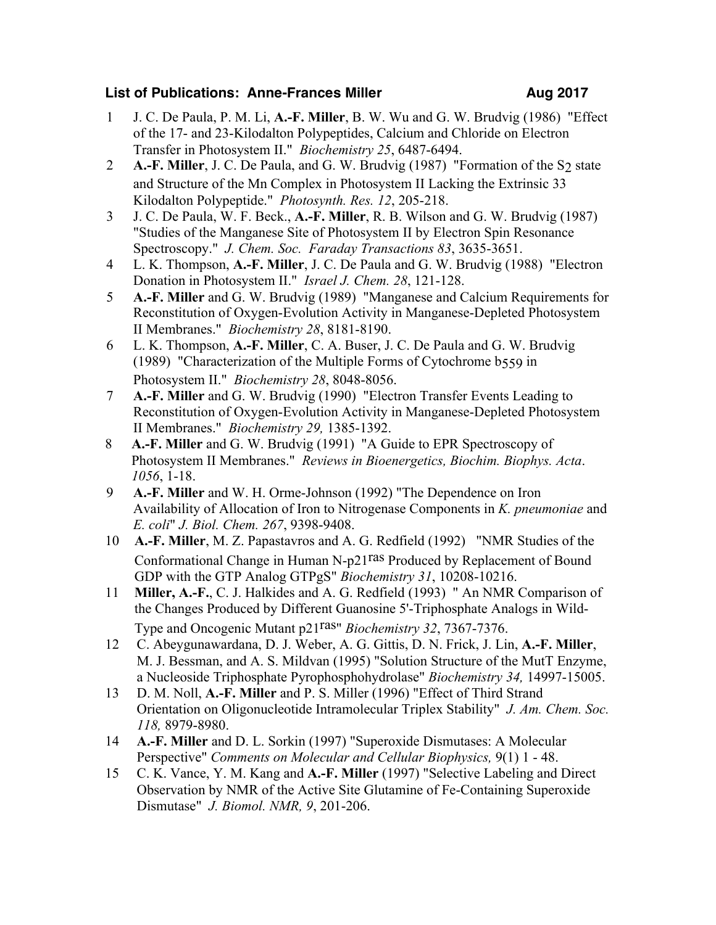## **List of Publications: Anne-Frances Miller <b>Aug 2017**

- 1 J. C. De Paula, P. M. Li, **A.-F. Miller**, B. W. Wu and G. W. Brudvig (1986) "Effect of the 17- and 23-Kilodalton Polypeptides, Calcium and Chloride on Electron Transfer in Photosystem II." *Biochemistry 25*, 6487-6494.
- 2 **A.-F. Miller**, J. C. De Paula, and G. W. Brudvig (1987) "Formation of the S<sub>2</sub> state and Structure of the Mn Complex in Photosystem II Lacking the Extrinsic 33 Kilodalton Polypeptide." *Photosynth. Res. 12*, 205-218.
- 3 J. C. De Paula, W. F. Beck., **A.-F. Miller**, R. B. Wilson and G. W. Brudvig (1987) "Studies of the Manganese Site of Photosystem II by Electron Spin Resonance Spectroscopy." *J. Chem. Soc. Faraday Transactions 83*, 3635-3651.
- 4 L. K. Thompson, **A.-F. Miller**, J. C. De Paula and G. W. Brudvig (1988) "Electron Donation in Photosystem II." *Israel J. Chem. 28*, 121-128.
- 5 **A.-F. Miller** and G. W. Brudvig (1989) "Manganese and Calcium Requirements for Reconstitution of Oxygen-Evolution Activity in Manganese-Depleted Photosystem II Membranes." *Biochemistry 28*, 8181-8190.
- 6 L. K. Thompson, **A.-F. Miller**, C. A. Buser, J. C. De Paula and G. W. Brudvig (1989) "Characterization of the Multiple Forms of Cytochrome b559 in Photosystem II." *Biochemistry 28*, 8048-8056.
- 7 **A.-F. Miller** and G. W. Brudvig (1990) "Electron Transfer Events Leading to Reconstitution of Oxygen-Evolution Activity in Manganese-Depleted Photosystem II Membranes." *Biochemistry 29,* 1385-1392.
- 8 **A.-F. Miller** and G. W. Brudvig (1991) "A Guide to EPR Spectroscopy of Photosystem II Membranes." *Reviews in Bioenergetics, Biochim. Biophys. Acta*. *1056*, 1-18.
- 9 **A.-F. Miller** and W. H. Orme-Johnson (1992) "The Dependence on Iron Availability of Allocation of Iron to Nitrogenase Components in *K. pneumoniae* and *E. coli*" *J. Biol. Chem. 267*, 9398-9408.
- 10 **A.-F. Miller**, M. Z. Papastavros and A. G. Redfield (1992) "NMR Studies of the Conformational Change in Human N-p21ras Produced by Replacement of Bound GDP with the GTP Analog GTPgS" *Biochemistry 31*, 10208-10216.
- 11 **Miller, A.-F.**, C. J. Halkides and A. G. Redfield (1993) " An NMR Comparison of the Changes Produced by Different Guanosine 5'-Triphosphate Analogs in Wild-Type and Oncogenic Mutant p21ras" *Biochemistry 32*, 7367-7376.
- 12 C. Abeygunawardana, D. J. Weber, A. G. Gittis, D. N. Frick, J. Lin, **A.-F. Miller**, M. J. Bessman, and A. S. Mildvan (1995) "Solution Structure of the MutT Enzyme, a Nucleoside Triphosphate Pyrophosphohydrolase" *Biochemistry 34,* 14997-15005.
- 13 D. M. Noll, **A.-F. Miller** and P. S. Miller (1996) "Effect of Third Strand Orientation on Oligonucleotide Intramolecular Triplex Stability" *J. Am. Chem. Soc. 118,* 8979-8980.
- 14 **A.-F. Miller** and D. L. Sorkin (1997) "Superoxide Dismutases: A Molecular Perspective" *Comments on Molecular and Cellular Biophysics,* 9(1) 1 - 48.
- 15 C. K. Vance, Y. M. Kang and **A.-F. Miller** (1997) "Selective Labeling and Direct Observation by NMR of the Active Site Glutamine of Fe-Containing Superoxide Dismutase" *J. Biomol. NMR, 9*, 201-206.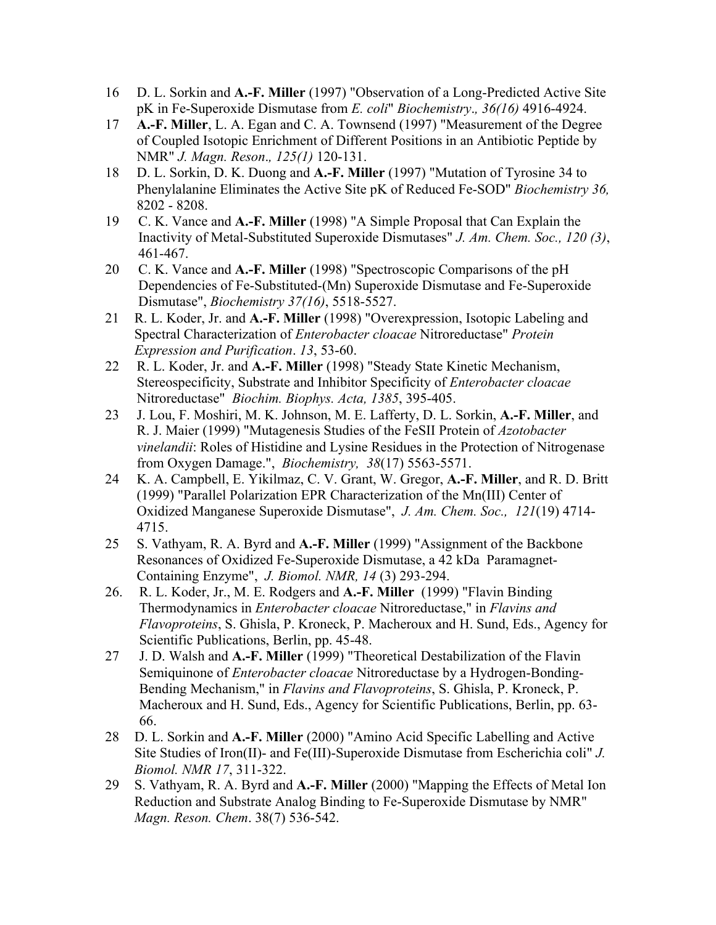- 16 D. L. Sorkin and **A.-F. Miller** (1997) "Observation of a Long-Predicted Active Site pK in Fe-Superoxide Dismutase from *E. coli*" *Biochemistry*.*, 36(16)* 4916-4924.
- 17 **A.-F. Miller**, L. A. Egan and C. A. Townsend (1997) "Measurement of the Degree of Coupled Isotopic Enrichment of Different Positions in an Antibiotic Peptide by NMR" *J. Magn. Reson*.*, 125(1)* 120-131.
- 18 D. L. Sorkin, D. K. Duong and **A.-F. Miller** (1997) "Mutation of Tyrosine 34 to Phenylalanine Eliminates the Active Site pK of Reduced Fe-SOD" *Biochemistry 36,*  8202 - 8208.
- 19 C. K. Vance and **A.-F. Miller** (1998) "A Simple Proposal that Can Explain the Inactivity of Metal-Substituted Superoxide Dismutases" *J. Am. Chem. Soc., 120 (3)*, 461-467.
- 20 C. K. Vance and **A.-F. Miller** (1998) "Spectroscopic Comparisons of the pH Dependencies of Fe-Substituted-(Mn) Superoxide Dismutase and Fe-Superoxide Dismutase", *Biochemistry 37(16)*, 5518-5527.
- 21 R. L. Koder, Jr. and **A.-F. Miller** (1998) "Overexpression, Isotopic Labeling and Spectral Characterization of *Enterobacter cloacae* Nitroreductase" *Protein Expression and Purification*. *13*, 53-60.
- 22 R. L. Koder, Jr. and **A.-F. Miller** (1998) "Steady State Kinetic Mechanism, Stereospecificity, Substrate and Inhibitor Specificity of *Enterobacter cloacae* Nitroreductase" *Biochim. Biophys. Acta, 1385*, 395-405.
- 23 J. Lou, F. Moshiri, M. K. Johnson, M. E. Lafferty, D. L. Sorkin, **A.-F. Miller**, and R. J. Maier (1999) "Mutagenesis Studies of the FeSII Protein of *Azotobacter vinelandii*: Roles of Histidine and Lysine Residues in the Protection of Nitrogenase from Oxygen Damage.", *Biochemistry, 38*(17) 5563-5571.
- 24 K. A. Campbell, E. Yikilmaz, C. V. Grant, W. Gregor, **A.-F. Miller**, and R. D. Britt (1999) "Parallel Polarization EPR Characterization of the Mn(III) Center of Oxidized Manganese Superoxide Dismutase", *J. Am. Chem. Soc., 121*(19) 4714- 4715.
- 25 S. Vathyam, R. A. Byrd and **A.-F. Miller** (1999) "Assignment of the Backbone Resonances of Oxidized Fe-Superoxide Dismutase, a 42 kDa Paramagnet-Containing Enzyme", *J. Biomol. NMR, 14* (3) 293-294.
- 26. R. L. Koder, Jr., M. E. Rodgers and **A.-F. Miller** (1999) "Flavin Binding Thermodynamics in *Enterobacter cloacae* Nitroreductase," in *Flavins and Flavoproteins*, S. Ghisla, P. Kroneck, P. Macheroux and H. Sund, Eds., Agency for Scientific Publications, Berlin, pp. 45-48.
- 27 J. D. Walsh and **A.-F. Miller** (1999) "Theoretical Destabilization of the Flavin Semiquinone of *Enterobacter cloacae* Nitroreductase by a Hydrogen-Bonding-Bending Mechanism," in *Flavins and Flavoproteins*, S. Ghisla, P. Kroneck, P. Macheroux and H. Sund, Eds., Agency for Scientific Publications, Berlin, pp. 63- 66.
- 28 D. L. Sorkin and **A.-F. Miller** (2000) "Amino Acid Specific Labelling and Active Site Studies of Iron(II)- and Fe(III)-Superoxide Dismutase from Escherichia coli" *J. Biomol. NMR 17*, 311-322.
- 29 S. Vathyam, R. A. Byrd and **A.-F. Miller** (2000) "Mapping the Effects of Metal Ion Reduction and Substrate Analog Binding to Fe-Superoxide Dismutase by NMR" *Magn. Reson. Chem*. 38(7) 536-542.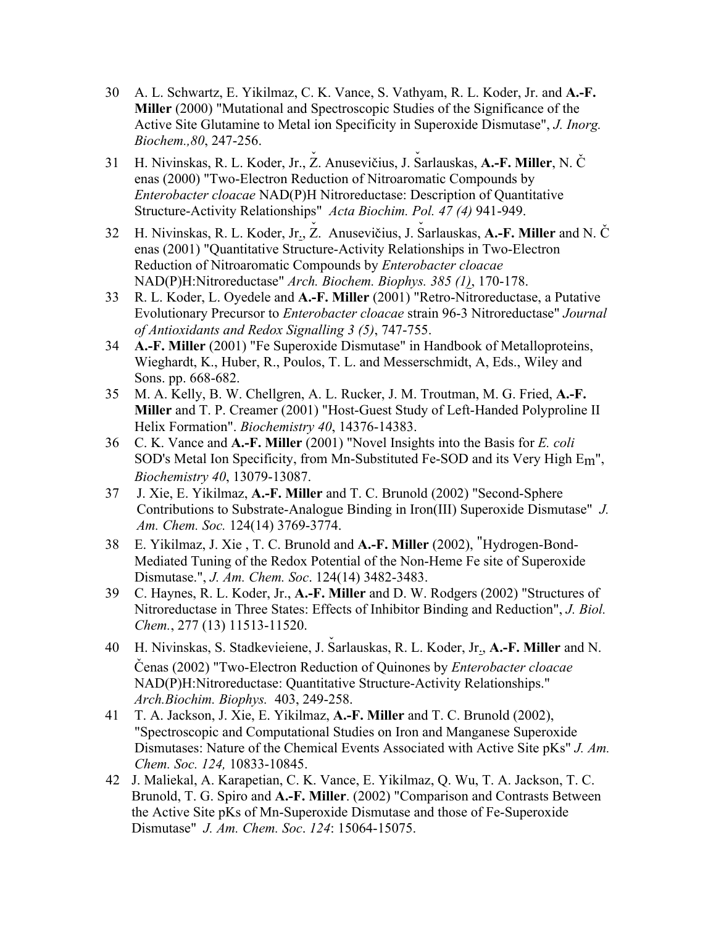- 30 A. L. Schwartz, E. Yikilmaz, C. K. Vance, S. Vathyam, R. L. Koder, Jr. and **A.-F. Miller** (2000) "Mutational and Spectroscopic Studies of the Significance of the Active Site Glutamine to Metal ion Specificity in Superoxide Dismutase", *J. Inorg. Biochem.,80*, 247-256.
- 31 H. Nivinskas, R. L. Koder, Jr., Ž. Anusevičius, J. Šarlauskas, **A.-F. Miller**, N. Č enas (2000) "Two-Electron Reduction of Nitroaromatic Compounds by *Enterobacter cloacae* NAD(P)H Nitroreductase: Description of Quantitative Structure-Activity Relationships" *Acta Biochim. Pol. 47 (4)* 941-949.
- 32 H. Nivinskas, R. L. Koder, Jr., Ž. Anusevičius, J. Šarlauskas, **A.-F. Miller** and N. Č enas (2001) "Quantitative Structure-Activity Relationships in Two-Electron Reduction of Nitroaromatic Compounds by *Enterobacter cloacae* NAD(P)H:Nitroreductase" *Arch. Biochem. Biophys. 385 (1)*, 170-178.
- 33 R. L. Koder, L. Oyedele and **A.-F. Miller** (2001) "Retro-Nitroreductase, a Putative Evolutionary Precursor to *Enterobacter cloacae* strain 96-3 Nitroreductase" *Journal of Antioxidants and Redox Signalling 3 (5)*, 747-755.
- 34 **A.-F. Miller** (2001) "Fe Superoxide Dismutase" in Handbook of Metalloproteins, Wieghardt, K., Huber, R., Poulos, T. L. and Messerschmidt, A, Eds., Wiley and Sons. pp. 668-682.
- 35 M. A. Kelly, B. W. Chellgren, A. L. Rucker, J. M. Troutman, M. G. Fried, **A.-F. Miller** and T. P. Creamer (2001) "Host-Guest Study of Left-Handed Polyproline II Helix Formation". *Biochemistry 40*, 14376-14383.
- 36 C. K. Vance and **A.-F. Miller** (2001) "Novel Insights into the Basis for *E. coli* SOD's Metal Ion Specificity, from Mn-Substituted Fe-SOD and its Very High Em", *Biochemistry 40*, 13079-13087.
- 37 J. Xie, E. Yikilmaz, **A.-F. Miller** and T. C. Brunold (2002) "Second-Sphere Contributions to Substrate-Analogue Binding in Iron(III) Superoxide Dismutase" *J. Am. Chem. Soc.* 124(14) 3769-3774.
- 38 E. Yikilmaz, J. Xie , T. C. Brunold and **A.-F. Miller** (2002), "Hydrogen-Bond-Mediated Tuning of the Redox Potential of the Non-Heme Fe site of Superoxide Dismutase.", *J. Am. Chem. Soc*. 124(14) 3482-3483.
- 39 C. Haynes, R. L. Koder, Jr., **A.-F. Miller** and D. W. Rodgers (2002) "Structures of Nitroreductase in Three States: Effects of Inhibitor Binding and Reduction", *J. Biol. Chem.*, 277 (13) 11513-11520.
- 40 H. Nivinskas, S. Stadkevieiene, J. Šarlauskas, R. L. Koder, Jr., A.-F. Miller and N. Cenas (2002) "Two-Electron Reduction of Quinones by *Enterobacter cloacae* NAD(P)H:Nitroreductase: Quantitative Structure-Activity Relationships." *Arch.Biochim. Biophys.* 403, 249-258.
- 41 T. A. Jackson, J. Xie, E. Yikilmaz, **A.-F. Miller** and T. C. Brunold (2002), "Spectroscopic and Computational Studies on Iron and Manganese Superoxide Dismutases: Nature of the Chemical Events Associated with Active Site pKs" *J. Am. Chem. Soc. 124,* 10833-10845.
- 42 J. Maliekal, A. Karapetian, C. K. Vance, E. Yikilmaz, Q. Wu, T. A. Jackson, T. C. Brunold, T. G. Spiro and **A.-F. Miller**. (2002) "Comparison and Contrasts Between the Active Site pKs of Mn-Superoxide Dismutase and those of Fe-Superoxide Dismutase" *J. Am. Chem. Soc*. *124*: 15064-15075.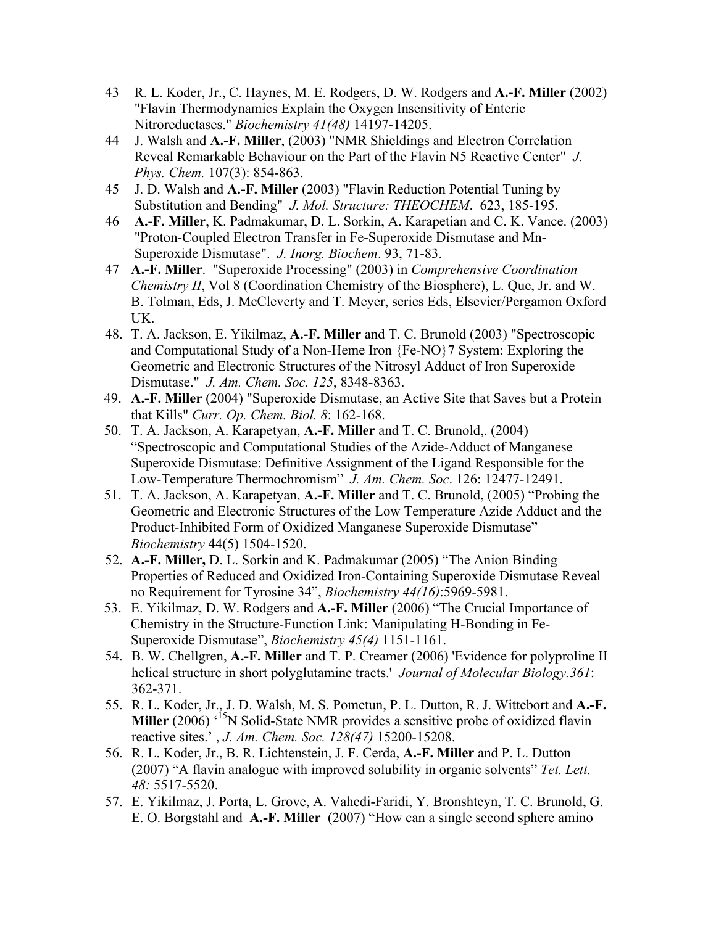- 43 R. L. Koder, Jr., C. Haynes, M. E. Rodgers, D. W. Rodgers and **A.-F. Miller** (2002) "Flavin Thermodynamics Explain the Oxygen Insensitivity of Enteric Nitroreductases." *Biochemistry 41(48)* 14197-14205.
- 44 J. Walsh and **A.-F. Miller**, (2003) "NMR Shieldings and Electron Correlation Reveal Remarkable Behaviour on the Part of the Flavin N5 Reactive Center" *J. Phys. Chem.* 107(3): 854-863.
- 45 J. D. Walsh and **A.-F. Miller** (2003) "Flavin Reduction Potential Tuning by Substitution and Bending" *J. Mol. Structure: THEOCHEM*. 623, 185-195.
- 46 **A.-F. Miller**, K. Padmakumar, D. L. Sorkin, A. Karapetian and C. K. Vance. (2003) "Proton-Coupled Electron Transfer in Fe-Superoxide Dismutase and Mn-Superoxide Dismutase". *J. Inorg. Biochem*. 93, 71-83.
- 47 **A.-F. Miller**. "Superoxide Processing" (2003) in *Comprehensive Coordination Chemistry II*, Vol 8 (Coordination Chemistry of the Biosphere), L. Que, Jr. and W. B. Tolman, Eds, J. McCleverty and T. Meyer, series Eds, Elsevier/Pergamon Oxford UK.
- 48. T. A. Jackson, E. Yikilmaz, **A.-F. Miller** and T. C. Brunold (2003) "Spectroscopic and Computational Study of a Non-Heme Iron {Fe-NO}7 System: Exploring the Geometric and Electronic Structures of the Nitrosyl Adduct of Iron Superoxide Dismutase." *J. Am. Chem. Soc. 125*, 8348-8363.
- 49. **A.-F. Miller** (2004) "Superoxide Dismutase, an Active Site that Saves but a Protein that Kills" *Curr. Op. Chem. Biol. 8*: 162-168.
- 50. T. A. Jackson, A. Karapetyan, **A.-F. Miller** and T. C. Brunold,. (2004) "Spectroscopic and Computational Studies of the Azide-Adduct of Manganese Superoxide Dismutase: Definitive Assignment of the Ligand Responsible for the Low-Temperature Thermochromism" *J. Am. Chem. Soc*. 126: 12477-12491.
- 51. T. A. Jackson, A. Karapetyan, **A.-F. Miller** and T. C. Brunold, (2005) "Probing the Geometric and Electronic Structures of the Low Temperature Azide Adduct and the Product-Inhibited Form of Oxidized Manganese Superoxide Dismutase" *Biochemistry* 44(5) 1504-1520.
- 52. **A.-F. Miller,** D. L. Sorkin and K. Padmakumar (2005) "The Anion Binding Properties of Reduced and Oxidized Iron-Containing Superoxide Dismutase Reveal no Requirement for Tyrosine 34", *Biochemistry 44(16)*:5969-5981.
- 53. E. Yikilmaz, D. W. Rodgers and **A.-F. Miller** (2006) "The Crucial Importance of Chemistry in the Structure-Function Link: Manipulating H-Bonding in Fe-Superoxide Dismutase", *Biochemistry 45(4)* 1151-1161.
- 54. B. W. Chellgren, **A.-F. Miller** and T. P. Creamer (2006) 'Evidence for polyproline II helical structure in short polyglutamine tracts.' *Journal of Molecular Biology.361*: 362-371.
- 55. R. L. Koder, Jr., J. D. Walsh, M. S. Pometun, P. L. Dutton, R. J. Wittebort and **A.-F. Miller** (2006) <sup>'15</sup>N Solid-State NMR provides a sensitive probe of oxidized flavin reactive sites.' , *J. Am. Chem. Soc. 128(47)* 15200-15208.
- 56. R. L. Koder, Jr., B. R. Lichtenstein, J. F. Cerda, **A.-F. Miller** and P. L. Dutton (2007) "A flavin analogue with improved solubility in organic solvents" *Tet. Lett. 48:* 5517-5520.
- 57. E. Yikilmaz, J. Porta, L. Grove, A. Vahedi-Faridi, Y. Bronshteyn, T. C. Brunold, G. E. O. Borgstahl and **A.-F. Miller** (2007) "How can a single second sphere amino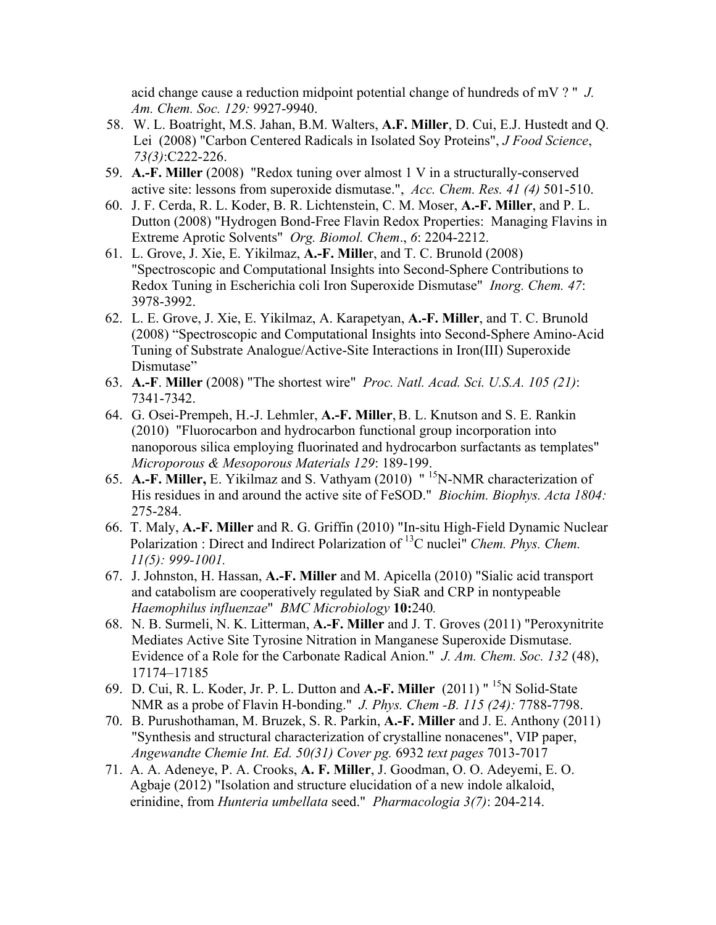acid change cause a reduction midpoint potential change of hundreds of mV ? " *J. Am. Chem. Soc. 129:* 9927-9940.

- 58. W. L. Boatright, M.S. Jahan, B.M. Walters, **A.F. Miller**, D. Cui, E.J. Hustedt and Q. Lei (2008) "Carbon Centered Radicals in Isolated Soy Proteins", *J Food Science*, *73(3)*:C222-226.
- 59. **A.-F. Miller** (2008) "Redox tuning over almost 1 V in a structurally-conserved active site: lessons from superoxide dismutase.", *Acc. Chem. Res. 41 (4)* 501-510.
- 60. J. F. Cerda, R. L. Koder, B. R. Lichtenstein, C. M. Moser, **A.-F. Miller**, and P. L. Dutton (2008) "Hydrogen Bond-Free Flavin Redox Properties: Managing Flavins in Extreme Aprotic Solvents" *Org. Biomol. Chem*., *6*: 2204-2212.
- 61. L. Grove, J. Xie, E. Yikilmaz, **A.-F. Mille**r, and T. C. Brunold (2008) "Spectroscopic and Computational Insights into Second-Sphere Contributions to Redox Tuning in Escherichia coli Iron Superoxide Dismutase" *Inorg. Chem. 47*: 3978-3992.
- 62. L. E. Grove, J. Xie, E. Yikilmaz, A. Karapetyan, **A.-F. Miller**, and T. C. Brunold (2008) "Spectroscopic and Computational Insights into Second-Sphere Amino-Acid Tuning of Substrate Analogue/Active-Site Interactions in Iron(III) Superoxide Dismutase"
- 63. **A.-F**. **Miller** (2008) "The shortest wire" *Proc. Natl. Acad. Sci. U.S.A. 105 (21)*: 7341-7342.
- 64. G. Osei-Prempeh, H.-J. Lehmler, **A.-F. Miller**,B. L. Knutson and S. E. Rankin (2010) "Fluorocarbon and hydrocarbon functional group incorporation into nanoporous silica employing fluorinated and hydrocarbon surfactants as templates" *Microporous & Mesoporous Materials 129*: 189-199.
- 65. **A.-F. Miller,** E. Yikilmaz and S. Vathyam (2010) " 15N-NMR characterization of His residues in and around the active site of FeSOD." *Biochim. Biophys. Acta 1804:* 275-284.
- 66. T. Maly, **A.-F. Miller** and R. G. Griffin (2010) "In-situ High-Field Dynamic Nuclear Polarization : Direct and Indirect Polarization of 13C nuclei" *Chem. Phys. Chem. 11(5): 999-1001.*
- 67. J. Johnston, H. Hassan, **A.-F. Miller** and M. Apicella (2010) "Sialic acid transport and catabolism are cooperatively regulated by SiaR and CRP in nontypeable *Haemophilus influenzae*" *BMC Microbiology* **10:**240*.*
- 68. N. B. Surmeli, N. K. Litterman, **A.-F. Miller** and J. T. Groves (2011) "Peroxynitrite Mediates Active Site Tyrosine Nitration in Manganese Superoxide Dismutase. Evidence of a Role for the Carbonate Radical Anion." *J. Am. Chem. Soc. 132* (48), 17174–17185
- 69. D. Cui, R. L. Koder, Jr. P. L. Dutton and **A.-F. Miller** (2011) " 15N Solid-State NMR as a probe of Flavin H-bonding." *J. Phys. Chem -B. 115 (24):* 7788-7798.
- 70. B. Purushothaman, M. Bruzek, S. R. Parkin, **A.-F. Miller** and J. E. Anthony (2011) "Synthesis and structural characterization of crystalline nonacenes", VIP paper, *Angewandte Chemie Int. Ed. 50(31) Cover pg.* 6932 *text pages* 7013-7017
- 71. A. A. Adeneye, P. A. Crooks, **A. F. Miller**, J. Goodman, O. O. Adeyemi, E. O. Agbaje (2012) "Isolation and structure elucidation of a new indole alkaloid, erinidine, from *Hunteria umbellata* seed." *Pharmacologia 3(7)*: 204-214.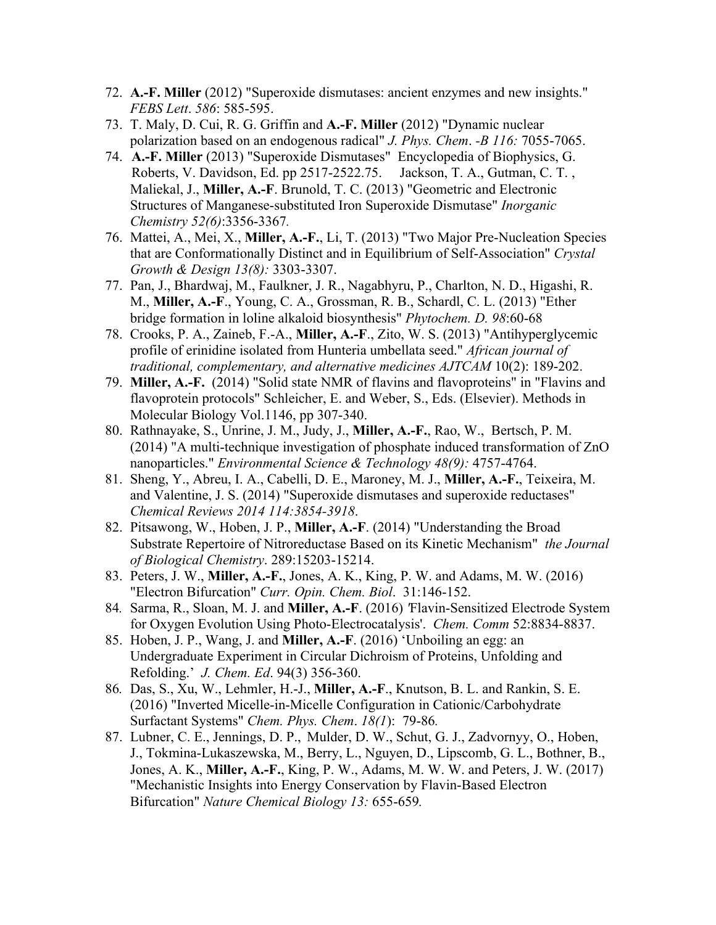- 72. **A.-F. Miller** (2012) "Superoxide dismutases: ancient enzymes and new insights." *FEBS Lett*. *586*: 585-595.
- 73. T. Maly, D. Cui, R. G. Griffin and **A.-F. Miller** (2012) "Dynamic nuclear polarization based on an endogenous radical" *J. Phys. Chem*. *-B 116:* 7055-7065.
- 74. **A.-F. Miller** (2013) "Superoxide Dismutases" Encyclopedia of Biophysics, G. Roberts, V. Davidson, Ed. pp 2517-2522.75. Jackson, T. A., Gutman, C. T. , Maliekal, J., **Miller, A.-F**. Brunold, T. C. (2013) "Geometric and Electronic Structures of Manganese-substituted Iron Superoxide Dismutase" *Inorganic Chemistry 52(6)*:3356-3367*.*
- 76. Mattei, A., Mei, X., **Miller, A.-F.**, Li, T. (2013) "Two Major Pre-Nucleation Species that are Conformationally Distinct and in Equilibrium of Self-Association" *Crystal Growth & Design 13(8):* 3303-3307.
- 77. Pan, J., Bhardwaj, M., Faulkner, J. R., Nagabhyru, P., Charlton, N. D., Higashi, R. M., **Miller, A.-F**., Young, C. A., Grossman, R. B., Schardl, C. L. (2013) "Ether bridge formation in loline alkaloid biosynthesis" *Phytochem. D. 98*:60-68
- 78. Crooks, P. A., Zaineb, F.-A., **Miller, A.-F**., Zito, W. S. (2013) "Antihyperglycemic profile of erinidine isolated from Hunteria umbellata seed." *African journal of traditional, complementary, and alternative medicines AJTCAM* 10(2): 189-202.
- 79. **Miller, A.-F.** (2014) "Solid state NMR of flavins and flavoproteins" in "Flavins and flavoprotein protocols" Schleicher, E. and Weber, S., Eds. (Elsevier). Methods in Molecular Biology Vol.1146, pp 307-340.
- 80. Rathnayake, S., Unrine, J. M., Judy, J., **Miller, A.-F.**, Rao, W., Bertsch, P. M. (2014) "A multi-technique investigation of phosphate induced transformation of ZnO nanoparticles." *Environmental Science & Technology 48(9):* 4757-4764.
- 81. Sheng, Y., Abreu, I. A., Cabelli, D. E., Maroney, M. J., **Miller, A.-F.**, Teixeira, M. and Valentine, J. S. (2014) "Superoxide dismutases and superoxide reductases" *Chemical Reviews 2014 114:3854-3918*.
- 82. Pitsawong, W., Hoben, J. P., **Miller, A.-F**. (2014) "Understanding the Broad Substrate Repertoire of Nitroreductase Based on its Kinetic Mechanism" *the Journal of Biological Chemistry*. 289:15203-15214.
- 83. Peters, J. W., **Miller, A.-F.**, Jones, A. K., King, P. W. and Adams, M. W. (2016) "Electron Bifurcation" *Curr. Opin. Chem. Biol*. 31:146-152.
- 84*.* Sarma, R., Sloan, M. J. and **Miller, A.-F**. (2016) *'*Flavin-Sensitized Electrode System for Oxygen Evolution Using Photo-Electrocatalysis'. *Chem. Comm* 52:8834-8837.
- 85. Hoben, J. P., Wang, J. and **Miller, A.-F**. (2016) 'Unboiling an egg: an Undergraduate Experiment in Circular Dichroism of Proteins, Unfolding and Refolding.' *J. Chem. Ed*. 94(3) 356-360.
- 86*.* Das, S., Xu, W., Lehmler, H.-J., **Miller, A.-F**., Knutson, B. L. and Rankin, S. E. (2016) "Inverted Micelle-in-Micelle Configuration in Cationic/Carbohydrate Surfactant Systems" *Chem. Phys. Chem*. *18(1*): 79-86*.*
- 87. Lubner, C. E., Jennings, D. P., Mulder, D. W., Schut, G. J., Zadvornyy, O., Hoben, J., Tokmina-Lukaszewska, M., Berry, L., Nguyen, D., Lipscomb, G. L., Bothner, B., Jones, A. K., **Miller, A.-F.**, King, P. W., Adams, M. W. W. and Peters, J. W. (2017) "Mechanistic Insights into Energy Conservation by Flavin-Based Electron Bifurcation" *Nature Chemical Biology 13:* 655-659*.*